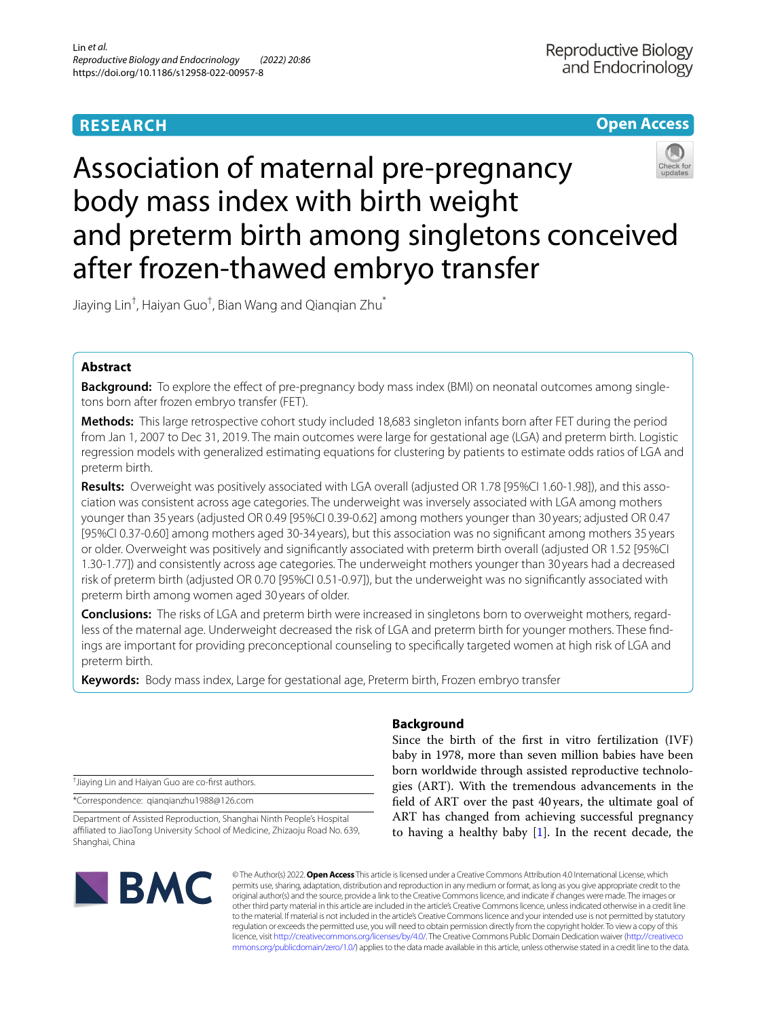# **RESEARCH**



# Association of maternal pre-pregnancy body mass index with birth weight and preterm birth among singletons conceived after frozen-thawed embryo transfer

Jiaying Lin† , Haiyan Guo† , Bian Wang and Qianqian Zhu\*

# **Abstract**

**Background:** To explore the efect of pre-pregnancy body mass index (BMI) on neonatal outcomes among singletons born after frozen embryo transfer (FET).

**Methods:** This large retrospective cohort study included 18,683 singleton infants born after FET during the period from Jan 1, 2007 to Dec 31, 2019. The main outcomes were large for gestational age (LGA) and preterm birth. Logistic regression models with generalized estimating equations for clustering by patients to estimate odds ratios of LGA and preterm birth.

**Results:** Overweight was positively associated with LGA overall (adjusted OR 1.78 [95%CI 1.60-1.98]), and this association was consistent across age categories. The underweight was inversely associated with LGA among mothers younger than 35 years (adjusted OR 0.49 [95%CI 0.39-0.62] among mothers younger than 30 years; adjusted OR 0.47 [95%CI 0.37-0.60] among mothers aged 30-34 years), but this association was no signifcant among mothers 35 years or older. Overweight was positively and signifcantly associated with preterm birth overall (adjusted OR 1.52 [95%CI 1.30-1.77]) and consistently across age categories. The underweight mothers younger than 30 years had a decreased risk of preterm birth (adjusted OR 0.70 [95%CI 0.51-0.97]), but the underweight was no signifcantly associated with preterm birth among women aged 30 years of older.

**Conclusions:** The risks of LGA and preterm birth were increased in singletons born to overweight mothers, regardless of the maternal age. Underweight decreased the risk of LGA and preterm birth for younger mothers. These fndings are important for providing preconceptional counseling to specifcally targeted women at high risk of LGA and preterm birth.

**Keywords:** Body mass index, Large for gestational age, Preterm birth, Frozen embryo transfer

† Jiaying Lin and Haiyan Guo are co-frst authors.

\*Correspondence: qianqianzhu1988@126.com

Department of Assisted Reproduction, Shanghai Ninth People's Hospital afliated to JiaoTong University School of Medicine, Zhizaoju Road No. 639, Shanghai, China



# **Background**

Since the birth of the frst in vitro fertilization (IVF) baby in 1978, more than seven million babies have been born worldwide through assisted reproductive technologies (ART). With the tremendous advancements in the feld of ART over the past 40years, the ultimate goal of ART has changed from achieving successful pregnancy to having a healthy baby  $[1]$  $[1]$ . In the recent decade, the

© The Author(s) 2022. **Open Access** This article is licensed under a Creative Commons Attribution 4.0 International License, which permits use, sharing, adaptation, distribution and reproduction in any medium or format, as long as you give appropriate credit to the original author(s) and the source, provide a link to the Creative Commons licence, and indicate if changes were made. The images or other third party material in this article are included in the article's Creative Commons licence, unless indicated otherwise in a credit line to the material. If material is not included in the article's Creative Commons licence and your intended use is not permitted by statutory regulation or exceeds the permitted use, you will need to obtain permission directly from the copyright holder. To view a copy of this licence, visit [http://creativecommons.org/licenses/by/4.0/.](http://creativecommons.org/licenses/by/4.0/) The Creative Commons Public Domain Dedication waiver ([http://creativeco](http://creativecommons.org/publicdomain/zero/1.0/) [mmons.org/publicdomain/zero/1.0/](http://creativecommons.org/publicdomain/zero/1.0/)) applies to the data made available in this article, unless otherwise stated in a credit line to the data.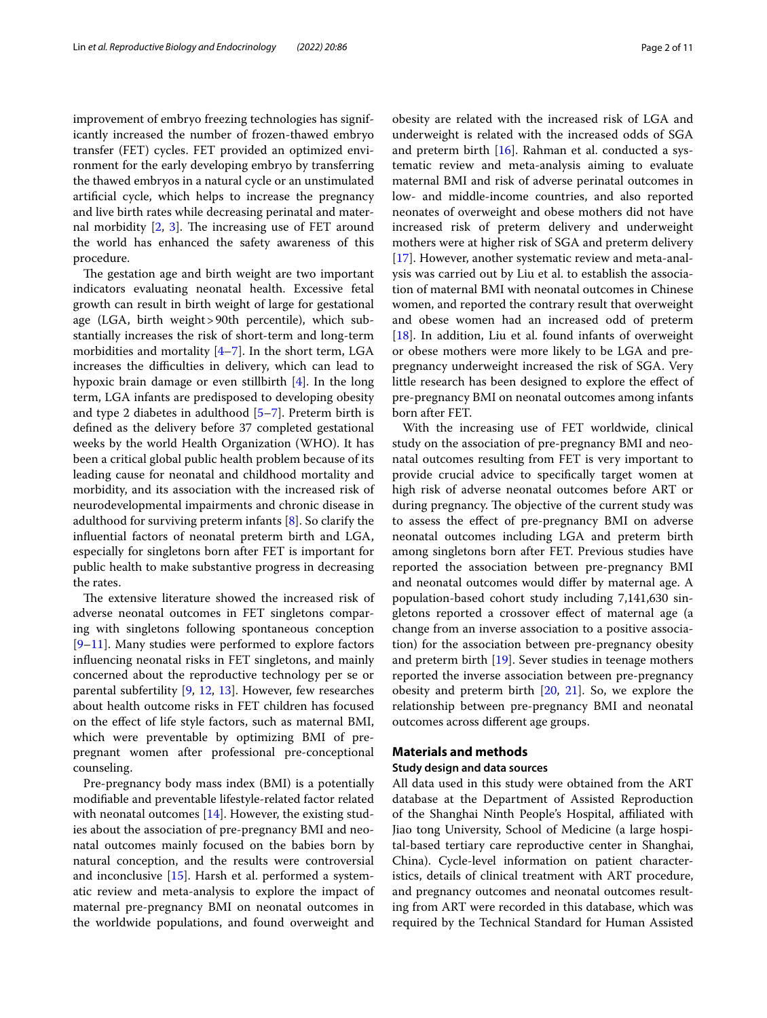improvement of embryo freezing technologies has significantly increased the number of frozen-thawed embryo transfer (FET) cycles. FET provided an optimized environment for the early developing embryo by transferring the thawed embryos in a natural cycle or an unstimulated artifcial cycle, which helps to increase the pregnancy and live birth rates while decreasing perinatal and maternal morbidity  $[2, 3]$  $[2, 3]$  $[2, 3]$  $[2, 3]$  $[2, 3]$ . The increasing use of FET around the world has enhanced the safety awareness of this procedure.

The gestation age and birth weight are two important indicators evaluating neonatal health. Excessive fetal growth can result in birth weight of large for gestational age (LGA, birth weight>90th percentile), which substantially increases the risk of short-term and long-term morbidities and mortality  $[4-7]$  $[4-7]$ . In the short term, LGA increases the difficulties in delivery, which can lead to hypoxic brain damage or even stillbirth [[4\]](#page-9-3). In the long term, LGA infants are predisposed to developing obesity and type 2 diabetes in adulthood [[5–](#page-9-5)[7\]](#page-9-4). Preterm birth is defned as the delivery before 37 completed gestational weeks by the world Health Organization (WHO). It has been a critical global public health problem because of its leading cause for neonatal and childhood mortality and morbidity, and its association with the increased risk of neurodevelopmental impairments and chronic disease in adulthood for surviving preterm infants [\[8](#page-9-6)]. So clarify the infuential factors of neonatal preterm birth and LGA, especially for singletons born after FET is important for public health to make substantive progress in decreasing the rates.

The extensive literature showed the increased risk of adverse neonatal outcomes in FET singletons comparing with singletons following spontaneous conception [[9–](#page-9-7)[11\]](#page-9-8). Many studies were performed to explore factors infuencing neonatal risks in FET singletons, and mainly concerned about the reproductive technology per se or parental subfertility [\[9](#page-9-7), [12](#page-9-9), [13\]](#page-9-10). However, few researches about health outcome risks in FET children has focused on the efect of life style factors, such as maternal BMI, which were preventable by optimizing BMI of prepregnant women after professional pre-conceptional counseling.

Pre-pregnancy body mass index (BMI) is a potentially modifable and preventable lifestyle-related factor related with neonatal outcomes [[14\]](#page-9-11). However, the existing studies about the association of pre-pregnancy BMI and neonatal outcomes mainly focused on the babies born by natural conception, and the results were controversial and inconclusive [[15\]](#page-9-12). Harsh et al. performed a systematic review and meta-analysis to explore the impact of maternal pre-pregnancy BMI on neonatal outcomes in the worldwide populations, and found overweight and obesity are related with the increased risk of LGA and underweight is related with the increased odds of SGA and preterm birth  $[16]$  $[16]$ . Rahman et al. conducted a systematic review and meta-analysis aiming to evaluate maternal BMI and risk of adverse perinatal outcomes in low- and middle-income countries, and also reported neonates of overweight and obese mothers did not have increased risk of preterm delivery and underweight mothers were at higher risk of SGA and preterm delivery [[17\]](#page-9-14). However, another systematic review and meta-analysis was carried out by Liu et al. to establish the association of maternal BMI with neonatal outcomes in Chinese women, and reported the contrary result that overweight and obese women had an increased odd of preterm [[18\]](#page-9-15). In addition, Liu et al. found infants of overweight or obese mothers were more likely to be LGA and prepregnancy underweight increased the risk of SGA. Very little research has been designed to explore the efect of pre-pregnancy BMI on neonatal outcomes among infants born after FET.

With the increasing use of FET worldwide, clinical study on the association of pre-pregnancy BMI and neonatal outcomes resulting from FET is very important to provide crucial advice to specifcally target women at high risk of adverse neonatal outcomes before ART or during pregnancy. The objective of the current study was to assess the efect of pre-pregnancy BMI on adverse neonatal outcomes including LGA and preterm birth among singletons born after FET. Previous studies have reported the association between pre-pregnancy BMI and neonatal outcomes would difer by maternal age. A population-based cohort study including 7,141,630 singletons reported a crossover efect of maternal age (a change from an inverse association to a positive association) for the association between pre-pregnancy obesity and preterm birth [[19\]](#page-9-16). Sever studies in teenage mothers reported the inverse association between pre-pregnancy obesity and preterm birth [[20,](#page-9-17) [21\]](#page-9-18). So, we explore the relationship between pre-pregnancy BMI and neonatal outcomes across diferent age groups.

#### **Materials and methods**

# **Study design and data sources**

All data used in this study were obtained from the ART database at the Department of Assisted Reproduction of the Shanghai Ninth People's Hospital, afliated with Jiao tong University, School of Medicine (a large hospital-based tertiary care reproductive center in Shanghai, China). Cycle-level information on patient characteristics, details of clinical treatment with ART procedure, and pregnancy outcomes and neonatal outcomes resulting from ART were recorded in this database, which was required by the Technical Standard for Human Assisted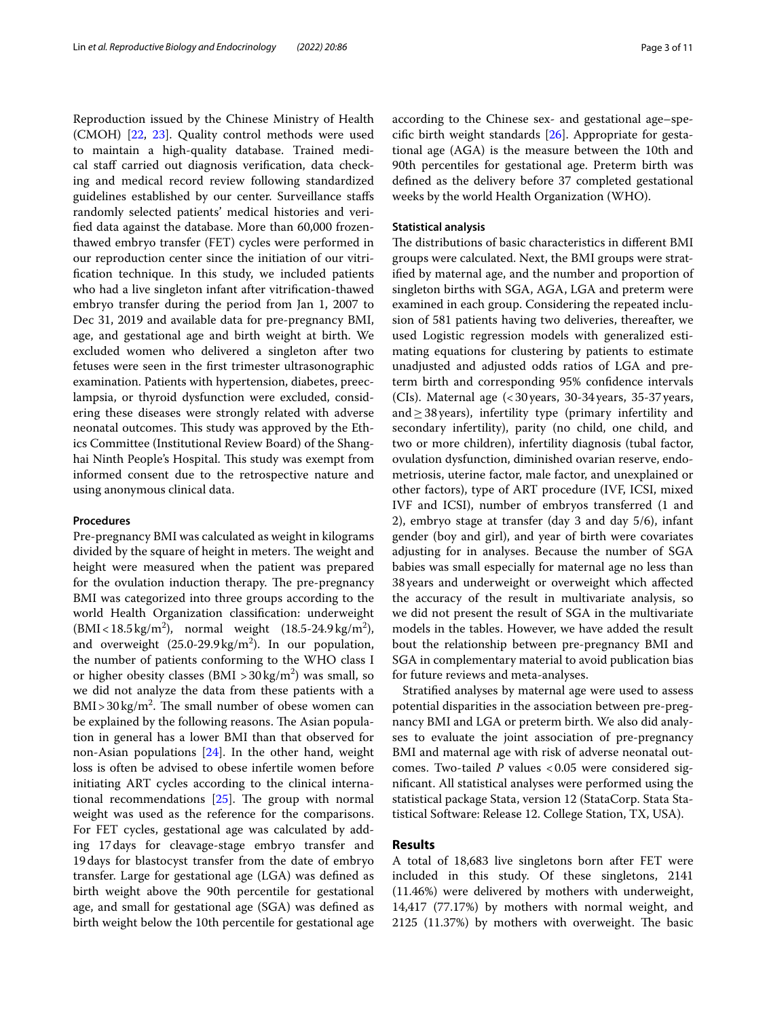Reproduction issued by the Chinese Ministry of Health (CMOH) [[22,](#page-9-19) [23](#page-9-20)]. Quality control methods were used to maintain a high-quality database. Trained medical staf carried out diagnosis verifcation, data checking and medical record review following standardized guidelines established by our center. Surveillance stafs randomly selected patients' medical histories and verifed data against the database. More than 60,000 frozenthawed embryo transfer (FET) cycles were performed in our reproduction center since the initiation of our vitrifcation technique. In this study, we included patients who had a live singleton infant after vitrifcation-thawed embryo transfer during the period from Jan 1, 2007 to Dec 31, 2019 and available data for pre-pregnancy BMI, age, and gestational age and birth weight at birth. We excluded women who delivered a singleton after two fetuses were seen in the frst trimester ultrasonographic examination. Patients with hypertension, diabetes, preeclampsia, or thyroid dysfunction were excluded, considering these diseases were strongly related with adverse neonatal outcomes. This study was approved by the Ethics Committee (Institutional Review Board) of the Shanghai Ninth People's Hospital. This study was exempt from informed consent due to the retrospective nature and using anonymous clinical data.

# **Procedures**

Pre-pregnancy BMI was calculated as weight in kilograms divided by the square of height in meters. The weight and height were measured when the patient was prepared for the ovulation induction therapy. The pre-pregnancy BMI was categorized into three groups according to the world Health Organization classifcation: underweight  $(BMI < 18.5 \,\text{kg/m}^2)$ , normal weight  $(18.5-24.9 \,\text{kg/m}^2)$ , and overweight  $(25.0-29.9 \text{ kg/m}^2)$ . In our population, the number of patients conforming to the WHO class I or higher obesity classes (BMI >  $30 \text{ kg/m}^2$ ) was small, so we did not analyze the data from these patients with a  $BMI > 30 \text{ kg/m}^2$ . The small number of obese women can be explained by the following reasons. The Asian population in general has a lower BMI than that observed for non-Asian populations [[24\]](#page-9-21). In the other hand, weight loss is often be advised to obese infertile women before initiating ART cycles according to the clinical international recommendations  $[25]$  $[25]$  $[25]$ . The group with normal weight was used as the reference for the comparisons. For FET cycles, gestational age was calculated by adding 17days for cleavage-stage embryo transfer and 19days for blastocyst transfer from the date of embryo transfer. Large for gestational age (LGA) was defned as birth weight above the 90th percentile for gestational age, and small for gestational age (SGA) was defned as birth weight below the 10th percentile for gestational age

according to the Chinese sex- and gestational age–specifc birth weight standards [\[26](#page-9-23)]. Appropriate for gestational age (AGA) is the measure between the 10th and 90th percentiles for gestational age. Preterm birth was defned as the delivery before 37 completed gestational weeks by the world Health Organization (WHO).

# **Statistical analysis**

The distributions of basic characteristics in different BMI groups were calculated. Next, the BMI groups were stratifed by maternal age, and the number and proportion of singleton births with SGA, AGA, LGA and preterm were examined in each group. Considering the repeated inclusion of 581 patients having two deliveries, thereafter, we used Logistic regression models with generalized estimating equations for clustering by patients to estimate unadjusted and adjusted odds ratios of LGA and preterm birth and corresponding 95% confdence intervals (CIs). Maternal age (<30years, 30-34years, 35-37years, and $\geq$  38 years), infertility type (primary infertility and secondary infertility), parity (no child, one child, and two or more children), infertility diagnosis (tubal factor, ovulation dysfunction, diminished ovarian reserve, endometriosis, uterine factor, male factor, and unexplained or other factors), type of ART procedure (IVF, ICSI, mixed IVF and ICSI), number of embryos transferred (1 and 2), embryo stage at transfer (day 3 and day 5/6), infant gender (boy and girl), and year of birth were covariates adjusting for in analyses. Because the number of SGA babies was small especially for maternal age no less than 38years and underweight or overweight which afected the accuracy of the result in multivariate analysis, so we did not present the result of SGA in the multivariate models in the tables. However, we have added the result bout the relationship between pre-pregnancy BMI and SGA in complementary material to avoid publication bias for future reviews and meta-analyses.

Stratifed analyses by maternal age were used to assess potential disparities in the association between pre-pregnancy BMI and LGA or preterm birth. We also did analyses to evaluate the joint association of pre-pregnancy BMI and maternal age with risk of adverse neonatal outcomes. Two-tailed *P* values <0.05 were considered signifcant. All statistical analyses were performed using the statistical package Stata, version 12 (StataCorp. Stata Statistical Software: Release 12. College Station, TX, USA).

# **Results**

A total of 18,683 live singletons born after FET were included in this study. Of these singletons, 2141 (11.46%) were delivered by mothers with underweight, 14,417 (77.17%) by mothers with normal weight, and  $2125$   $(11.37%)$  by mothers with overweight. The basic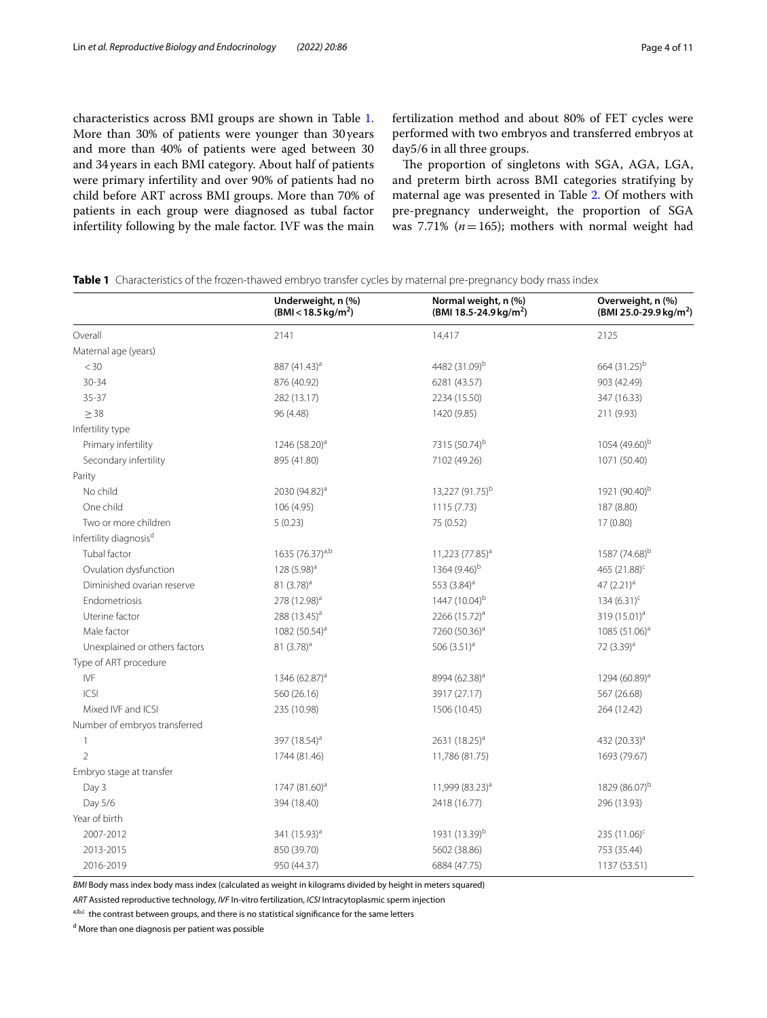characteristics across BMI groups are shown in Table [1](#page-3-0). More than 30% of patients were younger than 30 years and more than 40% of patients were aged between 30 and 34years in each BMI category. About half of patients were primary infertility and over 90% of patients had no child before ART across BMI groups. More than 70% of patients in each group were diagnosed as tubal factor infertility following by the male factor. IVF was the main

fertilization method and about 80% of FET cycles were performed with two embryos and transferred embryos at day5/6 in all three groups.

The proportion of singletons with SGA, AGA, LGA, and preterm birth across BMI categories stratifying by maternal age was presented in Table [2](#page-4-0). Of mothers with pre-pregnancy underweight, the proportion of SGA was 7.71% ( $n=165$ ); mothers with normal weight had

|                                    | Underweight, n (%)<br>$(BMI < 18.5 \text{ kg/m}^2)$ | Normal weight, n (%)<br>(BMI 18.5-24.9 kg/m <sup>2</sup> ) | Overweight, n (%)<br>(BMI 25.0-29.9 kg/m <sup>2</sup> ) |  |
|------------------------------------|-----------------------------------------------------|------------------------------------------------------------|---------------------------------------------------------|--|
| Overall                            | 2141                                                | 14,417                                                     | 2125                                                    |  |
| Maternal age (years)               |                                                     |                                                            |                                                         |  |
| $<$ 30                             | 887 (41.43) <sup>a</sup>                            | 4482 (31.09) <sup>b</sup>                                  | 664 (31.25) <sup>b</sup>                                |  |
| $30 - 34$                          | 876 (40.92)                                         | 6281 (43.57)                                               | 903 (42.49)                                             |  |
| $35 - 37$                          | 282 (13.17)                                         | 2234 (15.50)                                               | 347 (16.33)                                             |  |
| $\geq$ 38                          | 96 (4.48)                                           | 1420 (9.85)                                                | 211 (9.93)                                              |  |
| Infertility type                   |                                                     |                                                            |                                                         |  |
| Primary infertility                | 1246 (58.20) <sup>a</sup>                           | 7315 (50.74) <sup>b</sup>                                  | 1054 (49.60) <sup>b</sup>                               |  |
| Secondary infertility              | 895 (41.80)                                         | 7102 (49.26)                                               | 1071 (50.40)                                            |  |
| Parity                             |                                                     |                                                            |                                                         |  |
| No child                           | 2030 (94.82) <sup>a</sup>                           | 13,227 (91.75) <sup>b</sup>                                | 1921 (90.40) <sup>b</sup>                               |  |
| One child                          | 106 (4.95)                                          | 1115(7.73)                                                 | 187 (8.80)                                              |  |
| Two or more children               | 5(0.23)                                             | 75 (0.52)                                                  | 17 (0.80)                                               |  |
| Infertility diagnosis <sup>d</sup> |                                                     |                                                            |                                                         |  |
| Tubal factor                       | 1635 (76.37) <sup>a,b</sup>                         | 11,223 (77.85) <sup>a</sup>                                | 1587 (74.68) <sup>b</sup>                               |  |
| Ovulation dysfunction              | 128 $(5.98)^a$                                      | 1364 (9.46) <sup>b</sup>                                   | 465 (21.88) <sup>c</sup>                                |  |
| Diminished ovarian reserve         | 81 (3.78) <sup>a</sup>                              | 553 (3.84) <sup>a</sup>                                    | 47 (2.21) <sup>a</sup>                                  |  |
| Endometriosis                      | 278 (12.98) <sup>a</sup>                            | 1447 (10.04) <sup>b</sup>                                  | $134 (6.31)^c$                                          |  |
| Uterine factor                     | 288 (13.45) <sup>a</sup>                            | 2266 $(15.72)^a$                                           | 319 $(15.01)^a$                                         |  |
| Male factor                        | 1082 (50.54) <sup>a</sup>                           | 7260 (50.36) <sup>a</sup>                                  | 1085 (51.06) <sup>a</sup>                               |  |
| Unexplained or others factors      | 81 $(3.78)^a$                                       | 506 $(3.51)^a$                                             | 72 (3.39) <sup>a</sup>                                  |  |
| Type of ART procedure              |                                                     |                                                            |                                                         |  |
| <b>IVF</b>                         | 1346 (62.87) <sup>a</sup>                           | 8994 (62.38) <sup>a</sup>                                  | 1294 (60.89) <sup>a</sup>                               |  |
| CS                                 | 560 (26.16)                                         | 3917 (27.17)                                               | 567 (26.68)                                             |  |
| Mixed IVF and ICSI                 | 235 (10.98)                                         | 1506 (10.45)                                               | 264 (12.42)                                             |  |
| Number of embryos transferred      |                                                     |                                                            |                                                         |  |
| $\mathbf{1}$                       | 397 (18.54) <sup>a</sup>                            | 2631 $(18.25)^a$                                           | 432 (20.33) <sup>a</sup>                                |  |
| $\mathfrak{D}$                     | 1744 (81.46)                                        | 11,786 (81.75)                                             | 1693 (79.67)                                            |  |
| Embryo stage at transfer           |                                                     |                                                            |                                                         |  |
| Day 3                              | 1747 (81.60) <sup>a</sup>                           | 11,999 (83.23) <sup>a</sup>                                | 1829 (86.07) <sup>b</sup>                               |  |
| Day 5/6                            | 394 (18.40)                                         | 2418 (16.77)                                               | 296 (13.93)                                             |  |
| Year of birth                      |                                                     |                                                            |                                                         |  |
| 2007-2012                          | 341 (15.93) <sup>a</sup>                            | 1931 (13.39) <sup>b</sup>                                  | 235 (11.06) <sup>c</sup>                                |  |
| 2013-2015                          | 850 (39.70)                                         | 5602 (38.86)                                               | 753 (35.44)                                             |  |
| 2016-2019                          | 950 (44.37)                                         | 6884 (47.75)                                               | 1137 (53.51)                                            |  |

<span id="page-3-0"></span>**Table 1** Characteristics of the frozen-thawed embryo transfer cycles by maternal pre-pregnancy body mass index

*BMI* Body mass index body mass index (calculated as weight in kilograms divided by height in meters squared)

*ART* Assisted reproductive technology, *IVF* In-vitro fertilization, *ICSI* Intracytoplasmic sperm injection

a,b,c the contrast between groups, and there is no statistical significance for the same letters

<sup>d</sup> More than one diagnosis per patient was possible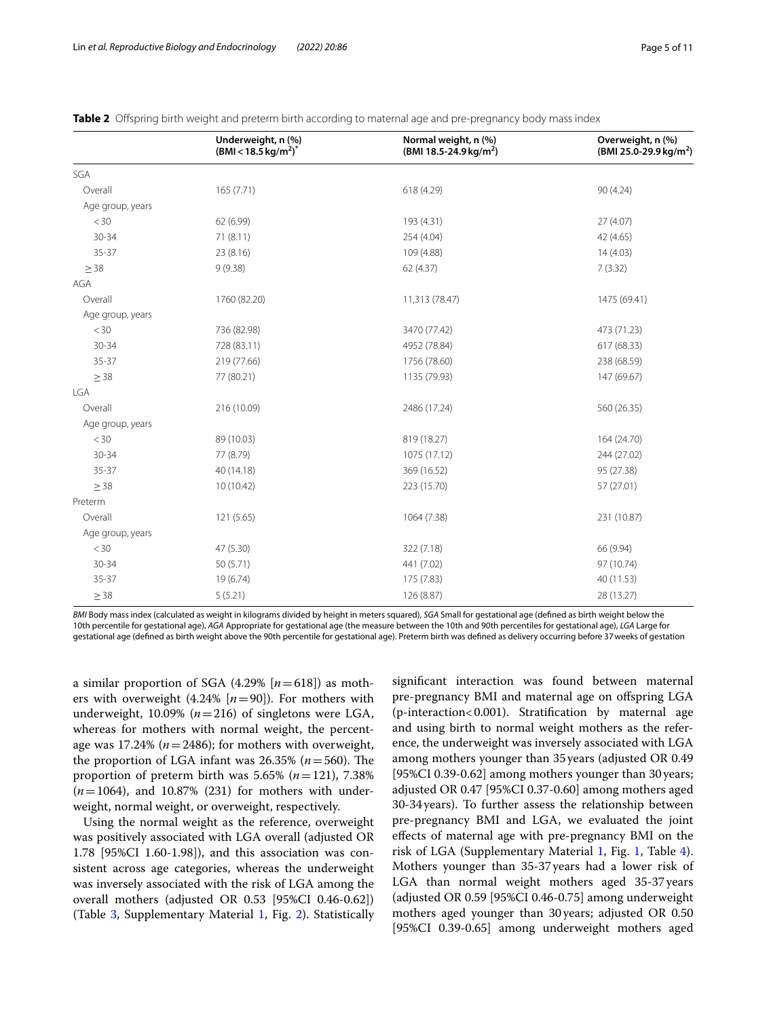|                  | Underweight, n (%)<br>$(BMI < 18.5$ kg/m <sup>2</sup> ) <sup>*</sup> | Normal weight, n (%)<br>(BMI 18.5-24.9 kg/m <sup>2</sup> ) | Overweight, n (%)<br>(BMI 25.0-29.9 kg/m <sup>2</sup> ) |
|------------------|----------------------------------------------------------------------|------------------------------------------------------------|---------------------------------------------------------|
| SGA              |                                                                      |                                                            |                                                         |
| Overall          | 165 (7.71)                                                           | 618 (4.29)                                                 | 90 (4.24)                                               |
| Age group, years |                                                                      |                                                            |                                                         |
| $<$ 30           | 62 (6.99)                                                            | 193 (4.31)                                                 | 27 (4.07)                                               |
| $30 - 34$        | 71(8.11)                                                             | 254 (4.04)                                                 | 42 (4.65)                                               |
| $35 - 37$        | 23 (8.16)                                                            | 109 (4.88)                                                 | 14(4.03)                                                |
| $\geq$ 38        | 9(9.38)                                                              | 62 (4.37)                                                  | 7(3.32)                                                 |
| AGA              |                                                                      |                                                            |                                                         |
| Overall          | 1760 (82.20)                                                         | 11,313 (78.47)                                             | 1475 (69.41)                                            |
| Age group, years |                                                                      |                                                            |                                                         |
| $<$ 30           | 736 (82.98)                                                          | 3470 (77.42)                                               | 473 (71.23)                                             |
| $30 - 34$        | 728 (83.11)                                                          | 4952 (78.84)                                               | 617 (68.33)                                             |
| $35 - 37$        | 219 (77.66)                                                          | 1756 (78.60)                                               | 238 (68.59)                                             |
| $\geq$ 38        | 77 (80.21)                                                           | 1135 (79.93)                                               | 147 (69.67)                                             |
| <b>LGA</b>       |                                                                      |                                                            |                                                         |
| Overall          | 216 (10.09)                                                          | 2486 (17.24)                                               | 560 (26.35)                                             |
| Age group, years |                                                                      |                                                            |                                                         |
| $<$ 30           | 89 (10.03)                                                           | 819 (18.27)                                                | 164 (24.70)                                             |
| 30-34            | 77 (8.79)                                                            | 1075 (17.12)                                               | 244 (27.02)                                             |
| 35-37            | 40 (14.18)                                                           | 369 (16.52)                                                | 95 (27.38)                                              |
| $\geq$ 38        | 10 (10.42)                                                           | 223 (15.70)                                                | 57 (27.01)                                              |
| Preterm          |                                                                      |                                                            |                                                         |
| Overall          | 121 (5.65)                                                           | 1064 (7.38)                                                | 231 (10.87)                                             |
| Age group, years |                                                                      |                                                            |                                                         |
| $<$ 30           | 47 (5.30)                                                            | 322 (7.18)                                                 | 66 (9.94)                                               |
| $30 - 34$        | 50 (5.71)                                                            | 441 (7.02)                                                 | 97 (10.74)                                              |
| $35 - 37$        | 19 (6.74)                                                            | 175 (7.83)                                                 | 40 (11.53)                                              |
| $\geq$ 38        | 5(5.21)                                                              | 126 (8.87)                                                 | 28 (13.27)                                              |
|                  |                                                                      |                                                            |                                                         |

<span id="page-4-0"></span>

*BMI* Body mass index (calculated as weight in kilograms divided by height in meters squared), *SGA* Small for gestational age (defned as birth weight below the 10th percentile for gestational age), *AGA* Appropriate for gestational age (the measure between the 10th and 90th percentiles for gestational age), *LGA* Large for gestational age (defned as birth weight above the 90th percentile for gestational age). Preterm birth was defned as delivery occurring before 37weeks of gestation

a similar proportion of SGA  $(4.29\%$   $[n=618])$  as mothers with overweight  $(4.24\%$  [ $n=90$ ]). For mothers with underweight, 10.09% (*n*=216) of singletons were LGA, whereas for mothers with normal weight, the percentage was 17.24% ( $n = 2486$ ); for mothers with overweight, the proportion of LGA infant was  $26.35\%$  ( $n = 560$ ). The proportion of preterm birth was  $5.65\%$  ( $n=121$ ),  $7.38\%$ (*n*=1064), and 10.87% (231) for mothers with underweight, normal weight, or overweight, respectively.

Using the normal weight as the reference, overweight was positively associated with LGA overall (adjusted OR 1.78 [95%CI 1.60-1.98]), and this association was consistent across age categories, whereas the underweight was inversely associated with the risk of LGA among the overall mothers (adjusted OR 0.53 [95%CI 0.46-0.62]) (Table [3,](#page-5-0) Supplementary Material [1,](#page-8-0) Fig. [2\)](#page-6-0). Statistically

signifcant interaction was found between maternal pre-pregnancy BMI and maternal age on ofspring LGA (p-interaction<0.001). Stratifcation by maternal age and using birth to normal weight mothers as the reference, the underweight was inversely associated with LGA among mothers younger than 35years (adjusted OR 0.49 [95%CI 0.39-0.62] among mothers younger than 30years; adjusted OR 0.47 [95%CI 0.37-0.60] among mothers aged 30-34years). To further assess the relationship between pre-pregnancy BMI and LGA, we evaluated the joint efects of maternal age with pre-pregnancy BMI on the risk of LGA (Supplementary Material [1,](#page-8-0) Fig. [1](#page-5-1), Table [4](#page-6-1)). Mothers younger than 35-37years had a lower risk of LGA than normal weight mothers aged 35-37years (adjusted OR 0.59 [95%CI 0.46-0.75] among underweight mothers aged younger than 30years; adjusted OR 0.50 [95%CI 0.39-0.65] among underweight mothers aged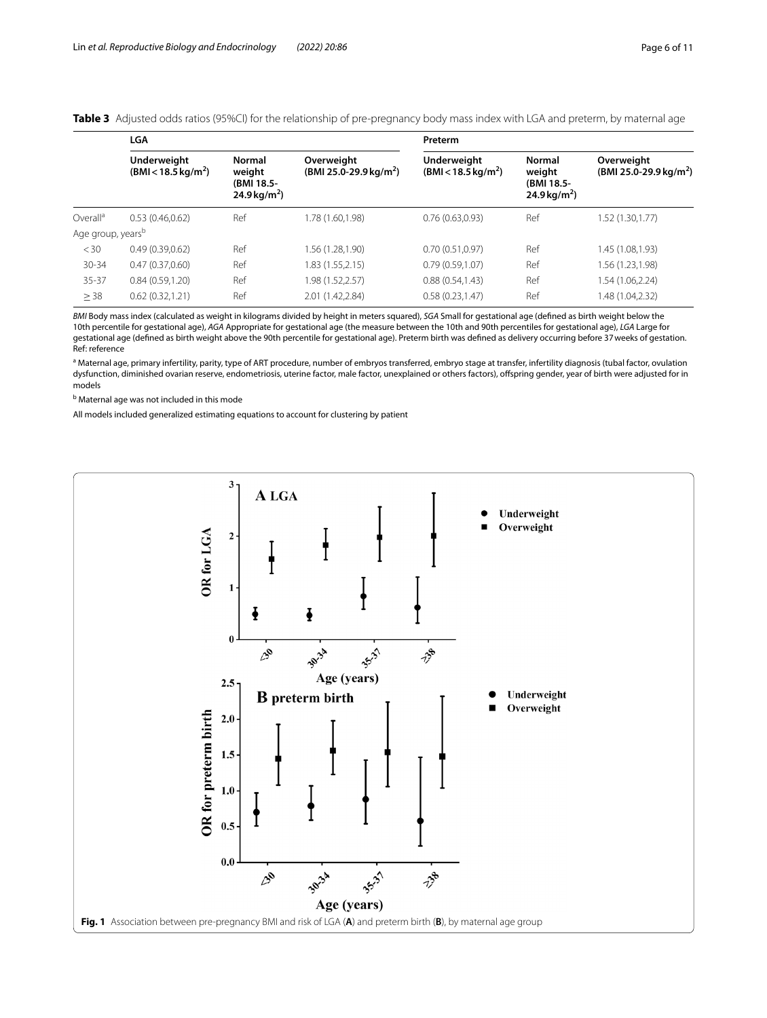<span id="page-5-0"></span>**Table 3** Adjusted odds ratios (95%CI) for the relationship of pre-pregnancy body mass index with LGA and preterm, by maternal age

|                               | <b>LGA</b>                                          |                                                                   |                                                  | Preterm                                             |                                                            |                                                  |
|-------------------------------|-----------------------------------------------------|-------------------------------------------------------------------|--------------------------------------------------|-----------------------------------------------------|------------------------------------------------------------|--------------------------------------------------|
|                               | <b>Underweight</b><br>$(BMI < 18.5 \text{ kg/m}^2)$ | <b>Normal</b><br>weight<br>(BMI 18.5-<br>24.9 kg/m <sup>2</sup> ) | Overweight<br>(BMI 25.0-29.9 kg/m <sup>2</sup> ) | <b>Underweight</b><br>$(BMI < 18.5 \text{ kg/m}^2)$ | Normal<br>weight<br>(BMI 18.5-<br>24.9 kg/m <sup>2</sup> ) | Overweight<br>(BMI 25.0-29.9 kg/m <sup>2</sup> ) |
| Overall <sup>a</sup>          | 0.53(0.46, 0.62)                                    | Ref                                                               | 1.78 (1.60,1.98)                                 | 0.76(0.63,0.93)                                     | Ref                                                        | 1.52(1.30, 1.77)                                 |
| Age group, years <sup>b</sup> |                                                     |                                                                   |                                                  |                                                     |                                                            |                                                  |
| < 30                          | 0.49(0.39,0.62)                                     | Ref                                                               | 1.56 (1.28,1.90)                                 | 0.70(0.51,0.97)                                     | Ref                                                        | 1.45 (1.08,1.93)                                 |
| $30 - 34$                     | 0.47(0.37,0.60)                                     | Ref                                                               | 1.83 (1.55,2.15)                                 | 0.79(0.59, 1.07)                                    | Ref                                                        | 1.56 (1.23,1.98)                                 |
| $35 - 37$                     | 0.84(0.59,1.20)                                     | Ref                                                               | 1.98 (1.52,2.57)                                 | 0.88(0.54, 1.43)                                    | Ref                                                        | 1.54(1.06, 2.24)                                 |
| $\geq$ 38                     | 0.62(0.32, 1.21)                                    | Ref                                                               | 2.01 (1.42,2.84)                                 | 0.58(0.23, 1.47)                                    | Ref                                                        | 1.48 (1.04,2.32)                                 |

*BMI* Body mass index (calculated as weight in kilograms divided by height in meters squared), *SGA* Small for gestational age (defned as birth weight below the 10th percentile for gestational age), *AGA* Appropriate for gestational age (the measure between the 10th and 90th percentiles for gestational age), *LGA* Large for gestational age (defned as birth weight above the 90th percentile for gestational age). Preterm birth was defned as delivery occurring before 37weeks of gestation. Ref: reference

<sup>a</sup> Maternal age, primary infertility, parity, type of ART procedure, number of embryos transferred, embryo stage at transfer, infertility diagnosis (tubal factor, ovulation dysfunction, diminished ovarian reserve, endometriosis, uterine factor, male factor, unexplained or others factors), offspring gender, year of birth were adjusted for in models

<sup>b</sup> Maternal age was not included in this mode

All models included generalized estimating equations to account for clustering by patient

<span id="page-5-1"></span>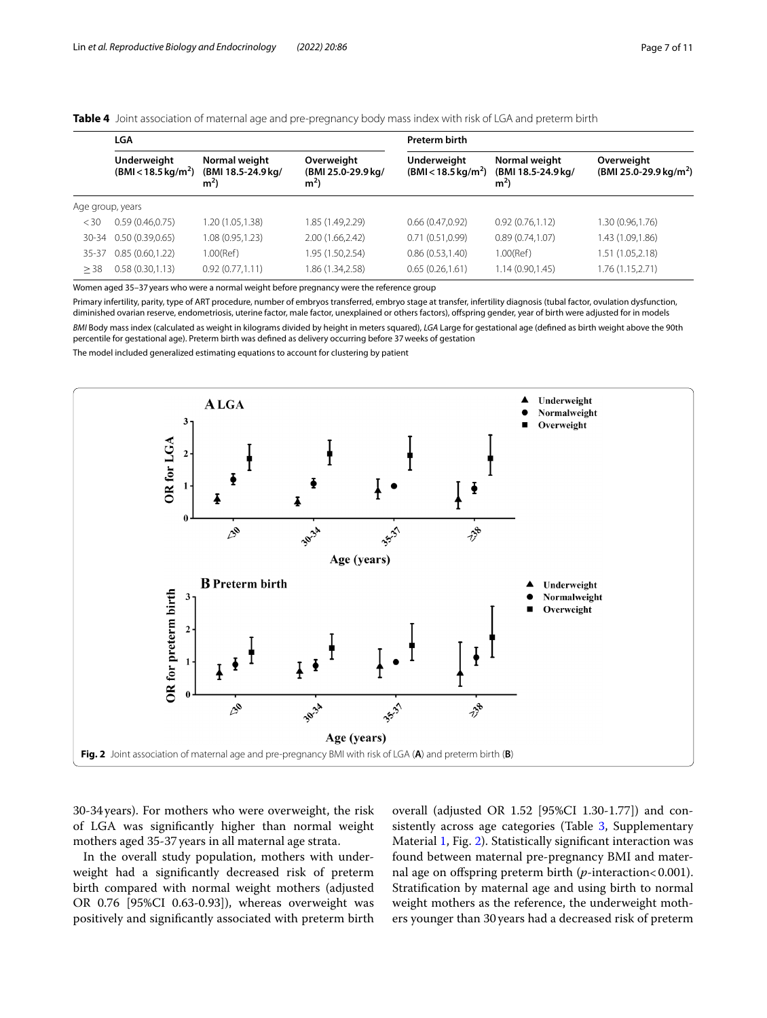<span id="page-6-1"></span>

|  |  |  |  |  | Table 4 Joint association of maternal age and pre-pregnancy body mass index with risk of LGA and preterm birth |
|--|--|--|--|--|----------------------------------------------------------------------------------------------------------------|
|--|--|--|--|--|----------------------------------------------------------------------------------------------------------------|

|                  | LGA                                          |                                                       |                                                      | <b>Preterm birth</b>                                |                                                       |                                                  |
|------------------|----------------------------------------------|-------------------------------------------------------|------------------------------------------------------|-----------------------------------------------------|-------------------------------------------------------|--------------------------------------------------|
|                  | Underweight<br>$(BMI < 18.5 \text{ kg/m}^2)$ | Normal weight<br>(BMI 18.5-24.9 kg/<br>m <sup>2</sup> | Overweight<br>(BMI 25.0-29.9 kg/<br>m <sup>2</sup> ) | <b>Underweight</b><br>$(BMI < 18.5 \text{ kg/m}^2)$ | Normal weight<br>(BMI 18.5-24.9 kg/<br>m <sup>2</sup> | Overweight<br>(BMI 25.0-29.9 kg/m <sup>2</sup> ) |
| Age group, years |                                              |                                                       |                                                      |                                                     |                                                       |                                                  |
| <30              | 0.59(0.46, 0.75)                             | 1.20 (1.05,1.38)                                      | 1.85 (1.49,2.29)                                     | 0.66(0.47,0.92)                                     | 0.92(0.76,1.12)                                       | 1.30 (0.96,1.76)                                 |
| $30 - 34$        | 0.50(0.39,0.65)                              | 1.08 (0.95,1.23)                                      | 2.00 (1.66,2.42)                                     | 0.71(0.51,0.99)                                     | 0.89(0.74,1.07)                                       | 1.43 (1.09,1.86)                                 |
| 35-37            | 0.85(0.60, 1.22)                             | 1.00(Ref)                                             | 1.95 (1.50,2.54)                                     | 0.86(0.53, 1.40)                                    | 1.00(Ref)                                             | 1.51(1.05, 2.18)                                 |
| >38              | 0.58(0.30, 1.13)                             | 0.92(0.77,1.11)                                       | .86 (1.34,2.58)                                      | 0.65(0.26, 1.61)                                    | 1.14(0.90, 1.45)                                      | 1.76(1.15, 2.71)                                 |

Women aged 35–37years who were a normal weight before pregnancy were the reference group

Primary infertility, parity, type of ART procedure, number of embryos transferred, embryo stage at transfer, infertility diagnosis (tubal factor, ovulation dysfunction, diminished ovarian reserve, endometriosis, uterine factor, male factor, unexplained or others factors), ofspring gender, year of birth were adjusted for in models *BMI* Body mass index (calculated as weight in kilograms divided by height in meters squared), *LGA* Large for gestational age (defned as birth weight above the 90th percentile for gestational age). Preterm birth was defned as delivery occurring before 37weeks of gestation

The model included generalized estimating equations to account for clustering by patient



<span id="page-6-0"></span>30-34years). For mothers who were overweight, the risk of LGA was signifcantly higher than normal weight mothers aged 35-37years in all maternal age strata.

In the overall study population, mothers with underweight had a signifcantly decreased risk of preterm birth compared with normal weight mothers (adjusted OR 0.76 [95%CI 0.63-0.93]), whereas overweight was positively and signifcantly associated with preterm birth

overall (adjusted OR 1.52 [95%CI 1.30-1.77]) and con-sistently across age categories (Table [3,](#page-5-0) Supplementary Material [1,](#page-8-0) Fig. [2\)](#page-6-0). Statistically signifcant interaction was found between maternal pre-pregnancy BMI and maternal age on offspring preterm birth (*p*-interaction<0.001). Stratifcation by maternal age and using birth to normal weight mothers as the reference, the underweight mothers younger than 30years had a decreased risk of preterm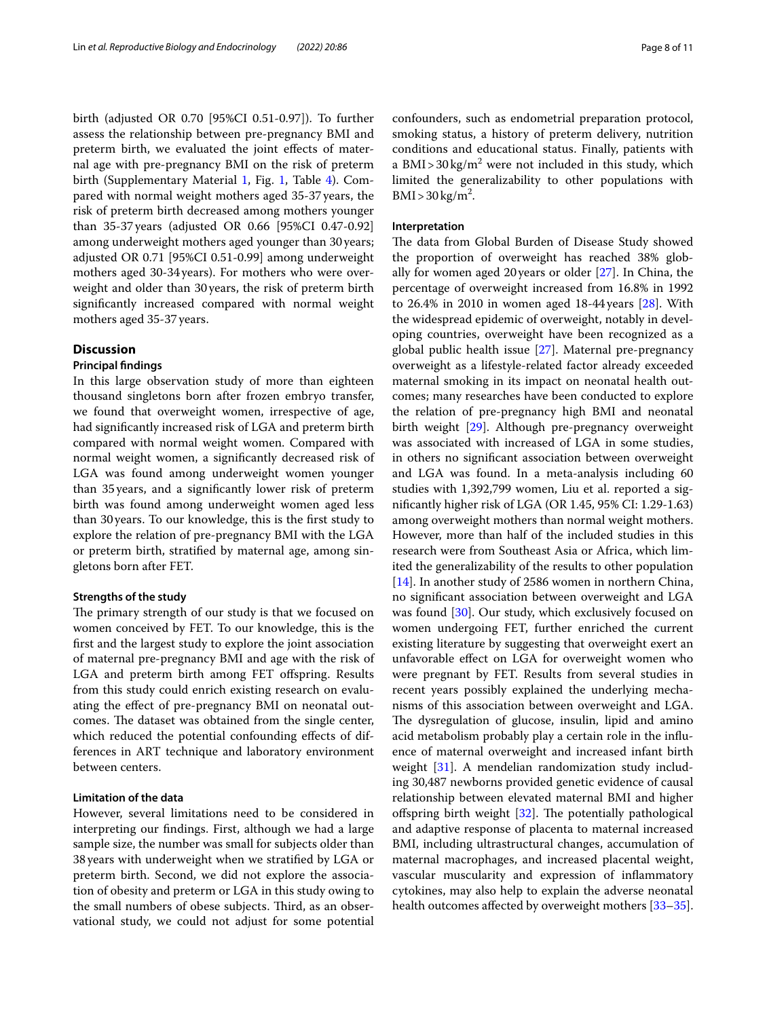birth (adjusted OR 0.70 [95%CI 0.51-0.97]). To further assess the relationship between pre-pregnancy BMI and preterm birth, we evaluated the joint efects of maternal age with pre-pregnancy BMI on the risk of preterm birth (Supplementary Material [1,](#page-8-0) Fig. [1,](#page-5-1) Table [4\)](#page-6-1). Compared with normal weight mothers aged 35-37years, the risk of preterm birth decreased among mothers younger than 35-37years (adjusted OR 0.66 [95%CI 0.47-0.92] among underweight mothers aged younger than 30years; adjusted OR 0.71 [95%CI 0.51-0.99] among underweight mothers aged 30-34years). For mothers who were overweight and older than 30years, the risk of preterm birth signifcantly increased compared with normal weight mothers aged 35-37years.

# **Discussion**

# **Principal fndings**

In this large observation study of more than eighteen thousand singletons born after frozen embryo transfer, we found that overweight women, irrespective of age, had signifcantly increased risk of LGA and preterm birth compared with normal weight women. Compared with normal weight women, a signifcantly decreased risk of LGA was found among underweight women younger than 35years, and a signifcantly lower risk of preterm birth was found among underweight women aged less than 30years. To our knowledge, this is the frst study to explore the relation of pre-pregnancy BMI with the LGA or preterm birth, stratifed by maternal age, among singletons born after FET.

## **Strengths of the study**

The primary strength of our study is that we focused on women conceived by FET. To our knowledge, this is the frst and the largest study to explore the joint association of maternal pre-pregnancy BMI and age with the risk of LGA and preterm birth among FET offspring. Results from this study could enrich existing research on evaluating the efect of pre-pregnancy BMI on neonatal outcomes. The dataset was obtained from the single center, which reduced the potential confounding effects of differences in ART technique and laboratory environment between centers.

# **Limitation of the data**

However, several limitations need to be considered in interpreting our fndings. First, although we had a large sample size, the number was small for subjects older than 38years with underweight when we stratifed by LGA or preterm birth. Second, we did not explore the association of obesity and preterm or LGA in this study owing to the small numbers of obese subjects. Third, as an observational study, we could not adjust for some potential confounders, such as endometrial preparation protocol, smoking status, a history of preterm delivery, nutrition conditions and educational status. Finally, patients with a  $\text{BMI} > 30 \,\text{kg/m}^2$  were not included in this study, which limited the generalizability to other populations with  $BMI > 30 \text{ kg/m}^2$ .

# **Interpretation**

The data from Global Burden of Disease Study showed the proportion of overweight has reached 38% globally for women aged 20 years or older [[27](#page-9-24)]. In China, the percentage of overweight increased from 16.8% in 1992 to 26.4% in 2010 in women aged 18-44years [\[28\]](#page-9-25). With the widespread epidemic of overweight, notably in developing countries, overweight have been recognized as a global public health issue [\[27](#page-9-24)]. Maternal pre-pregnancy overweight as a lifestyle-related factor already exceeded maternal smoking in its impact on neonatal health outcomes; many researches have been conducted to explore the relation of pre-pregnancy high BMI and neonatal birth weight [[29\]](#page-9-26). Although pre-pregnancy overweight was associated with increased of LGA in some studies, in others no signifcant association between overweight and LGA was found. In a meta-analysis including 60 studies with 1,392,799 women, Liu et al. reported a signifcantly higher risk of LGA (OR 1.45, 95% CI: 1.29-1.63) among overweight mothers than normal weight mothers. However, more than half of the included studies in this research were from Southeast Asia or Africa, which limited the generalizability of the results to other population [[14\]](#page-9-11). In another study of 2586 women in northern China, no signifcant association between overweight and LGA was found [[30](#page-9-27)]. Our study, which exclusively focused on women undergoing FET, further enriched the current existing literature by suggesting that overweight exert an unfavorable efect on LGA for overweight women who were pregnant by FET. Results from several studies in recent years possibly explained the underlying mechanisms of this association between overweight and LGA. The dysregulation of glucose, insulin, lipid and amino acid metabolism probably play a certain role in the infuence of maternal overweight and increased infant birth weight [[31](#page-9-28)]. A mendelian randomization study including 30,487 newborns provided genetic evidence of causal relationship between elevated maternal BMI and higher offspring birth weight  $[32]$ . The potentially pathological and adaptive response of placenta to maternal increased BMI, including ultrastructural changes, accumulation of maternal macrophages, and increased placental weight, vascular muscularity and expression of infammatory cytokines, may also help to explain the adverse neonatal health outcomes affected by overweight mothers [[33](#page-10-0)[–35](#page-10-1)].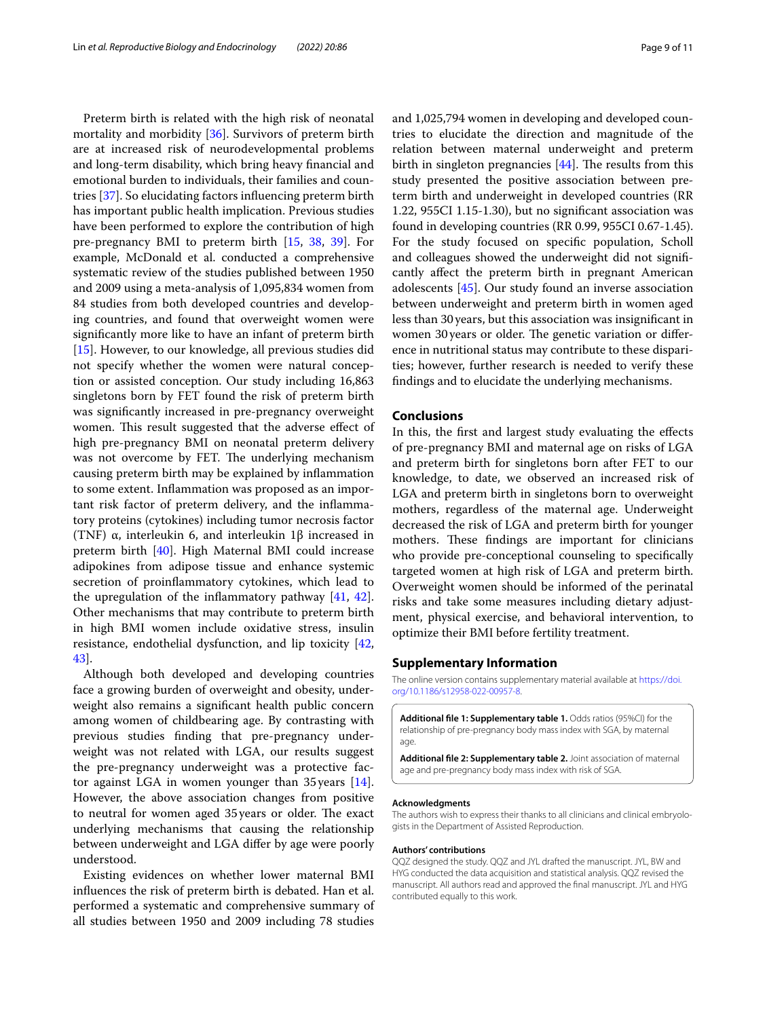Preterm birth is related with the high risk of neonatal mortality and morbidity [[36\]](#page-10-2). Survivors of preterm birth are at increased risk of neurodevelopmental problems and long-term disability, which bring heavy fnancial and emotional burden to individuals, their families and countries [\[37\]](#page-10-3). So elucidating factors infuencing preterm birth has important public health implication. Previous studies have been performed to explore the contribution of high pre-pregnancy BMI to preterm birth [\[15](#page-9-12), [38,](#page-10-4) [39\]](#page-10-5). For example, McDonald et al. conducted a comprehensive systematic review of the studies published between 1950 and 2009 using a meta-analysis of 1,095,834 women from 84 studies from both developed countries and developing countries, and found that overweight women were signifcantly more like to have an infant of preterm birth [[15\]](#page-9-12). However, to our knowledge, all previous studies did not specify whether the women were natural conception or assisted conception. Our study including 16,863 singletons born by FET found the risk of preterm birth was signifcantly increased in pre-pregnancy overweight women. This result suggested that the adverse effect of high pre-pregnancy BMI on neonatal preterm delivery was not overcome by FET. The underlying mechanism causing preterm birth may be explained by infammation to some extent. Infammation was proposed as an important risk factor of preterm delivery, and the infammatory proteins (cytokines) including tumor necrosis factor (TNF) α, interleukin 6, and interleukin 1β increased in preterm birth [[40\]](#page-10-6). High Maternal BMI could increase adipokines from adipose tissue and enhance systemic secretion of proinfammatory cytokines, which lead to the upregulation of the infammatory pathway [\[41](#page-10-7), [42](#page-10-8)]. Other mechanisms that may contribute to preterm birth in high BMI women include oxidative stress, insulin resistance, endothelial dysfunction, and lip toxicity [\[42](#page-10-8), [43\]](#page-10-9).

Although both developed and developing countries face a growing burden of overweight and obesity, underweight also remains a signifcant health public concern among women of childbearing age. By contrasting with previous studies fnding that pre-pregnancy underweight was not related with LGA, our results suggest the pre-pregnancy underweight was a protective factor against LGA in women younger than  $35$  years  $[14]$  $[14]$ . However, the above association changes from positive to neutral for women aged 35 years or older. The exact underlying mechanisms that causing the relationship between underweight and LGA difer by age were poorly understood.

Existing evidences on whether lower maternal BMI infuences the risk of preterm birth is debated. Han et al. performed a systematic and comprehensive summary of all studies between 1950 and 2009 including 78 studies and 1,025,794 women in developing and developed countries to elucidate the direction and magnitude of the relation between maternal underweight and preterm birth in singleton pregnancies  $[44]$  $[44]$ . The results from this study presented the positive association between preterm birth and underweight in developed countries (RR 1.22, 955CI 1.15-1.30), but no signifcant association was found in developing countries (RR 0.99, 955CI 0.67-1.45). For the study focused on specifc population, Scholl and colleagues showed the underweight did not signifcantly afect the preterm birth in pregnant American adolescents [\[45\]](#page-10-11). Our study found an inverse association between underweight and preterm birth in women aged less than 30years, but this association was insignifcant in women 30 years or older. The genetic variation or difference in nutritional status may contribute to these disparities; however, further research is needed to verify these fndings and to elucidate the underlying mechanisms.

#### **Conclusions**

In this, the frst and largest study evaluating the efects of pre-pregnancy BMI and maternal age on risks of LGA and preterm birth for singletons born after FET to our knowledge, to date, we observed an increased risk of LGA and preterm birth in singletons born to overweight mothers, regardless of the maternal age. Underweight decreased the risk of LGA and preterm birth for younger mothers. These findings are important for clinicians who provide pre-conceptional counseling to specifcally targeted women at high risk of LGA and preterm birth. Overweight women should be informed of the perinatal risks and take some measures including dietary adjustment, physical exercise, and behavioral intervention, to optimize their BMI before fertility treatment.

#### **Supplementary Information**

The online version contains supplementary material available at [https://doi.](https://doi.org/10.1186/s12958-022-00957-8) [org/10.1186/s12958-022-00957-8](https://doi.org/10.1186/s12958-022-00957-8).

<span id="page-8-0"></span>**Additional fle 1: Supplementary table 1.** Odds ratios (95%CI) for the relationship of pre-pregnancy body mass index with SGA, by maternal age.

**Additional fle 2: Supplementary table 2.** Joint association of maternal age and pre-pregnancy body mass index with risk of SGA

#### **Acknowledgments**

The authors wish to express their thanks to all clinicians and clinical embryologists in the Department of Assisted Reproduction.

#### **Authors' contributions**

QQZ designed the study. QQZ and JYL drafted the manuscript. JYL, BW and HYG conducted the data acquisition and statistical analysis. QQZ revised the manuscript. All authors read and approved the fnal manuscript. JYL and HYG contributed equally to this work.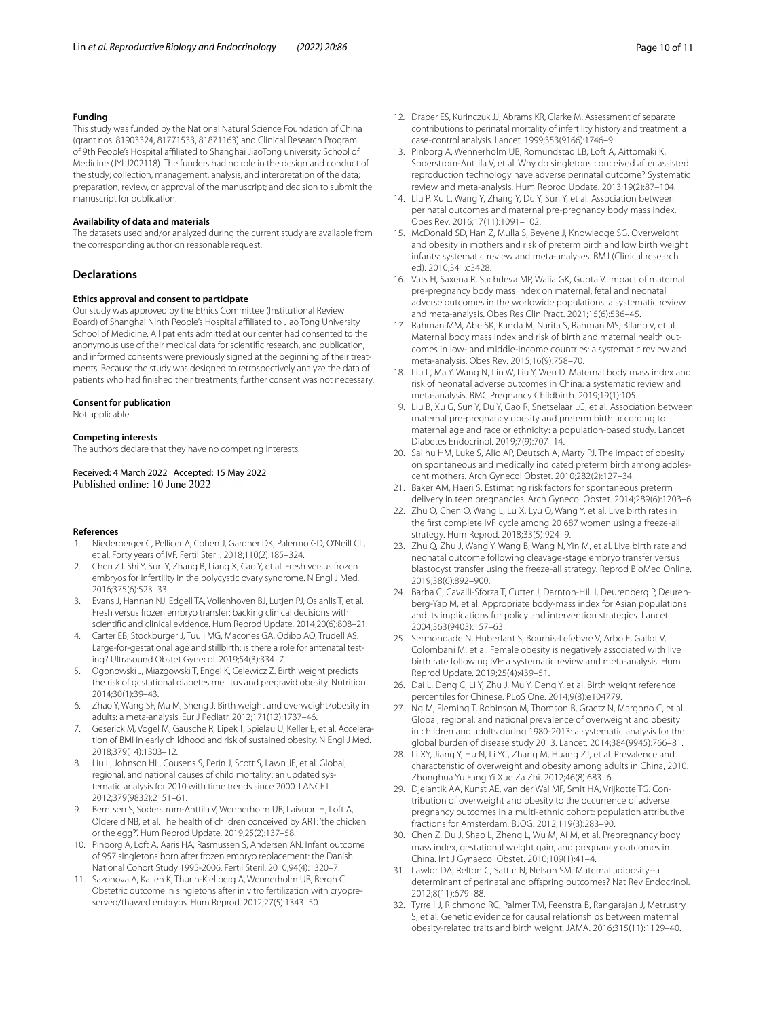### **Funding**

This study was funded by the National Natural Science Foundation of China (grant nos. 81903324, 81771533, 81871163) and Clinical Research Program of 9th People's Hospital afliated to Shanghai JiaoTong university School of Medicine (JYLJ202118). The funders had no role in the design and conduct of the study; collection, management, analysis, and interpretation of the data; preparation, review, or approval of the manuscript; and decision to submit the manuscript for publication.

#### **Availability of data and materials**

The datasets used and/or analyzed during the current study are available from the corresponding author on reasonable request.

## **Declarations**

#### **Ethics approval and consent to participate**

Our study was approved by the Ethics Committee (Institutional Review Board) of Shanghai Ninth People's Hospital afliated to Jiao Tong University School of Medicine. All patients admitted at our center had consented to the anonymous use of their medical data for scientifc research, and publication, and informed consents were previously signed at the beginning of their treatments. Because the study was designed to retrospectively analyze the data of patients who had fnished their treatments, further consent was not necessary.

#### **Consent for publication**

Not applicable.

#### **Competing interests**

The authors declare that they have no competing interests.

Received: 4 March 2022 Accepted: 15 May 2022 Published online: 10 June 2022

#### **References**

- <span id="page-9-0"></span>1. Niederberger C, Pellicer A, Cohen J, Gardner DK, Palermo GD, O'Neill CL, et al. Forty years of IVF. Fertil Steril. 2018;110(2):185–324.
- <span id="page-9-1"></span>2. Chen ZJ, Shi Y, Sun Y, Zhang B, Liang X, Cao Y, et al. Fresh versus frozen embryos for infertility in the polycystic ovary syndrome. N Engl J Med. 2016;375(6):523–33.
- <span id="page-9-2"></span>3. Evans J, Hannan NJ, Edgell TA, Vollenhoven BJ, Lutjen PJ, Osianlis T, et al. Fresh versus frozen embryo transfer: backing clinical decisions with scientifc and clinical evidence. Hum Reprod Update. 2014;20(6):808–21.
- <span id="page-9-3"></span>4. Carter EB, Stockburger J, Tuuli MG, Macones GA, Odibo AO, Trudell AS. Large-for-gestational age and stillbirth: is there a role for antenatal testing? Ultrasound Obstet Gynecol. 2019;54(3):334–7.
- <span id="page-9-5"></span>5. Ogonowski J, Miazgowski T, Engel K, Celewicz Z. Birth weight predicts the risk of gestational diabetes mellitus and pregravid obesity. Nutrition. 2014;30(1):39–43.
- 6. Zhao Y, Wang SF, Mu M, Sheng J. Birth weight and overweight/obesity in adults: a meta-analysis. Eur J Pediatr. 2012;171(12):1737–46.
- <span id="page-9-4"></span>7. Geserick M, Vogel M, Gausche R, Lipek T, Spielau U, Keller E, et al. Acceleration of BMI in early childhood and risk of sustained obesity. N Engl J Med. 2018;379(14):1303–12.
- <span id="page-9-6"></span>8. Liu L, Johnson HL, Cousens S, Perin J, Scott S, Lawn JE, et al. Global, regional, and national causes of child mortality: an updated systematic analysis for 2010 with time trends since 2000. LANCET. 2012;379(9832):2151–61.
- <span id="page-9-7"></span>9. Berntsen S, Soderstrom-Anttila V, Wennerholm UB, Laivuori H, Loft A, Oldereid NB, et al. The health of children conceived by ART: 'the chicken or the egg?'. Hum Reprod Update. 2019;25(2):137–58.
- 10. Pinborg A, Loft A, Aaris HA, Rasmussen S, Andersen AN. Infant outcome of 957 singletons born after frozen embryo replacement: the Danish National Cohort Study 1995-2006. Fertil Steril. 2010;94(4):1320–7.
- <span id="page-9-8"></span>11. Sazonova A, Kallen K, Thurin-Kjellberg A, Wennerholm UB, Bergh C. Obstetric outcome in singletons after in vitro fertilization with cryopreserved/thawed embryos. Hum Reprod. 2012;27(5):1343–50.
- <span id="page-9-9"></span>12. Draper ES, Kurinczuk JJ, Abrams KR, Clarke M. Assessment of separate contributions to perinatal mortality of infertility history and treatment: a case-control analysis. Lancet. 1999;353(9166):1746–9.
- <span id="page-9-10"></span>13. Pinborg A, Wennerholm UB, Romundstad LB, Loft A, Aittomaki K, Soderstrom-Anttila V, et al. Why do singletons conceived after assisted reproduction technology have adverse perinatal outcome? Systematic review and meta-analysis. Hum Reprod Update. 2013;19(2):87–104.
- <span id="page-9-11"></span>14. Liu P, Xu L, Wang Y, Zhang Y, Du Y, Sun Y, et al. Association between perinatal outcomes and maternal pre-pregnancy body mass index. Obes Rev. 2016;17(11):1091–102.
- <span id="page-9-12"></span>15. McDonald SD, Han Z, Mulla S, Beyene J, Knowledge SG. Overweight and obesity in mothers and risk of preterm birth and low birth weight infants: systematic review and meta-analyses. BMJ (Clinical research ed). 2010;341:c3428.
- <span id="page-9-13"></span>16. Vats H, Saxena R, Sachdeva MP, Walia GK, Gupta V. Impact of maternal pre-pregnancy body mass index on maternal, fetal and neonatal adverse outcomes in the worldwide populations: a systematic review and meta-analysis. Obes Res Clin Pract. 2021;15(6):536–45.
- <span id="page-9-14"></span>17. Rahman MM, Abe SK, Kanda M, Narita S, Rahman MS, Bilano V, et al. Maternal body mass index and risk of birth and maternal health outcomes in low- and middle-income countries: a systematic review and meta-analysis. Obes Rev. 2015;16(9):758–70.
- <span id="page-9-15"></span>18. Liu L, Ma Y, Wang N, Lin W, Liu Y, Wen D. Maternal body mass index and risk of neonatal adverse outcomes in China: a systematic review and meta-analysis. BMC Pregnancy Childbirth. 2019;19(1):105.
- <span id="page-9-16"></span>19. Liu B, Xu G, Sun Y, Du Y, Gao R, Snetselaar LG, et al. Association between maternal pre-pregnancy obesity and preterm birth according to maternal age and race or ethnicity: a population-based study. Lancet Diabetes Endocrinol. 2019;7(9):707–14.
- <span id="page-9-17"></span>20. Salihu HM, Luke S, Alio AP, Deutsch A, Marty PJ. The impact of obesity on spontaneous and medically indicated preterm birth among adolescent mothers. Arch Gynecol Obstet. 2010;282(2):127–34.
- <span id="page-9-18"></span>21. Baker AM, Haeri S. Estimating risk factors for spontaneous preterm delivery in teen pregnancies. Arch Gynecol Obstet. 2014;289(6):1203–6.
- <span id="page-9-19"></span>22. Zhu Q, Chen Q, Wang L, Lu X, Lyu Q, Wang Y, et al. Live birth rates in the frst complete IVF cycle among 20 687 women using a freeze-all strategy. Hum Reprod. 2018;33(5):924–9.
- <span id="page-9-20"></span>23. Zhu Q, Zhu J, Wang Y, Wang B, Wang N, Yin M, et al. Live birth rate and neonatal outcome following cleavage-stage embryo transfer versus blastocyst transfer using the freeze-all strategy. Reprod BioMed Online. 2019;38(6):892–900.
- <span id="page-9-21"></span>24. Barba C, Cavalli-Sforza T, Cutter J, Darnton-Hill I, Deurenberg P, Deurenberg-Yap M, et al. Appropriate body-mass index for Asian populations and its implications for policy and intervention strategies. Lancet. 2004;363(9403):157–63.
- <span id="page-9-22"></span>25. Sermondade N, Huberlant S, Bourhis-Lefebvre V, Arbo E, Gallot V, Colombani M, et al. Female obesity is negatively associated with live birth rate following IVF: a systematic review and meta-analysis. Hum Reprod Update. 2019;25(4):439–51.
- <span id="page-9-23"></span>26. Dai L, Deng C, Li Y, Zhu J, Mu Y, Deng Y, et al. Birth weight reference percentiles for Chinese. PLoS One. 2014;9(8):e104779.
- <span id="page-9-24"></span>27. Ng M, Fleming T, Robinson M, Thomson B, Graetz N, Margono C, et al. Global, regional, and national prevalence of overweight and obesity in children and adults during 1980-2013: a systematic analysis for the global burden of disease study 2013. Lancet. 2014;384(9945):766–81.
- <span id="page-9-25"></span>28. Li XY, Jiang Y, Hu N, Li YC, Zhang M, Huang ZJ, et al. Prevalence and characteristic of overweight and obesity among adults in China, 2010. Zhonghua Yu Fang Yi Xue Za Zhi. 2012;46(8):683–6.
- <span id="page-9-26"></span>29. Djelantik AA, Kunst AE, van der Wal MF, Smit HA, Vrijkotte TG. Contribution of overweight and obesity to the occurrence of adverse pregnancy outcomes in a multi-ethnic cohort: population attributive fractions for Amsterdam. BJOG. 2012;119(3):283–90.
- <span id="page-9-27"></span>30. Chen Z, Du J, Shao L, Zheng L, Wu M, Ai M, et al. Prepregnancy body mass index, gestational weight gain, and pregnancy outcomes in China. Int J Gynaecol Obstet. 2010;109(1):41–4.
- <span id="page-9-28"></span>31. Lawlor DA, Relton C, Sattar N, Nelson SM. Maternal adiposity--a determinant of perinatal and ofspring outcomes? Nat Rev Endocrinol. 2012;8(11):679–88.
- <span id="page-9-29"></span>32. Tyrrell J, Richmond RC, Palmer TM, Feenstra B, Rangarajan J, Metrustry S, et al. Genetic evidence for causal relationships between maternal obesity-related traits and birth weight. JAMA. 2016;315(11):1129–40.